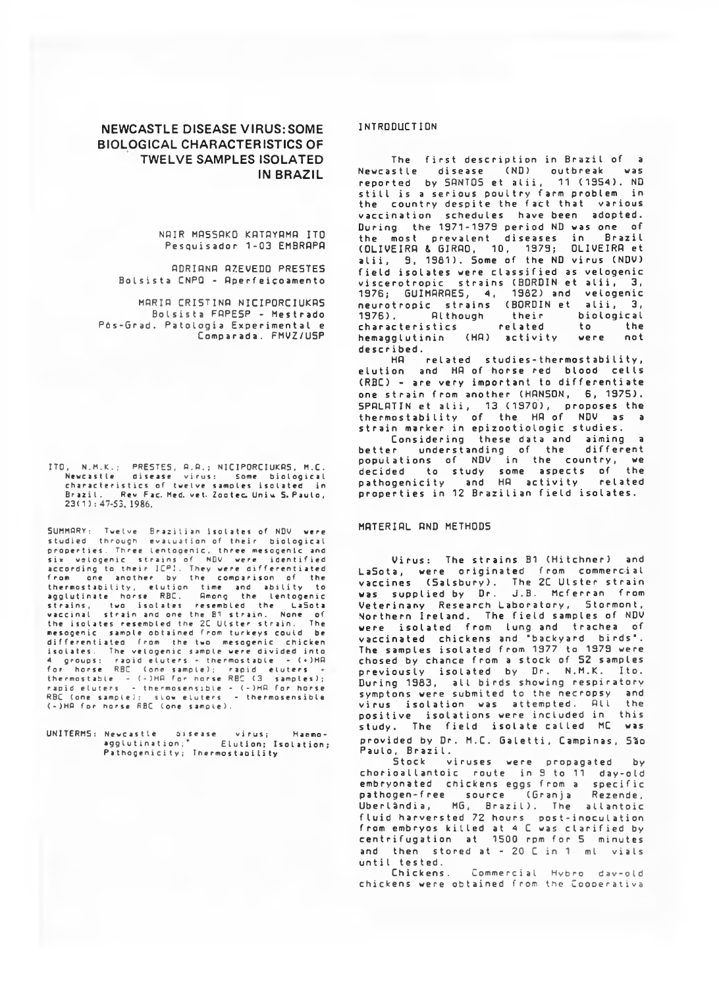# **NEWCASTLE DISEASE VIRUS: SOME BIOLOGICAL CHARACTERISTICS OF TWELVE SAMPLES ISOLATED IN BRAZIL**

NAIR MASSAKO KATAYAMA ITO Pesquisador 1-03 EMBRRPR

RDRIRNR AZEVEDO PRESTES Bolsista CNPQ - Aperfeicoamento

MARIA CRISTINA NICIPORCIUKAS Bolsista FAPESP - Mestrado Pós-Grad. Patologia Experimental e Comparada. FMVZ/U5P

ITO, N.M.K.; PRESTES, A.A.; NICIPORCIUKAS, M.C. Newcastle disease virus: Some biological characteristics of twelve samples isolated in<br>Brazil. Rev, Fac. Med. vet. Zootec. Uniu S. Paulo, **23 ( 1 ): 47-53, 1986.**

SUMMARY: Twelve Brazilian isolates of NDV were studied through evaluation-of-their biological properties. Three lentogenic, three mesogenic and six velogenic strains of NDV were identified<br>according to their ICPI. They were differentiated<br>from one another by the comparison of the thermostability, elution time and ability to<br>agglutinate horse RBC. Among the lentogenic<br>strains, two isolates resembled the LaSota agglutinate horse Rou. Howing the LaSota<br>strains, two isolates resembled the LaSota<br>vaccinal strain and one the B1 strain. The<br>strain. The secondical the ZC Ulster strain. The the isolates resembled the 2C Ulster strain. The<br>mesogenic sample obtained from turkeys could be differentiated from the two mesogenic chicken isolates. The velogenic sample were divided into<br>4 groups: raoid eluters - thermostable - (+)HA<br>for horse RBC (one sample); rapid eluters<br>thermostable - (-)HA for horse RBC (3 samples); rapid eluters – thermosensible – (–)HA for horse<br>RBC (one sample); slow eluters – thermosensible<br>(–)HA for horse RBC (one sample).

UNITERM5: Newcastle oisease virus; Hacmoagglutination;\* Elution; Isolation; Pathogenicity; Thermostability

## INTRODUCTION

The first description in Brazil of a Newcastle disease (NO) outbreak was reported by SANTOS et alii, 11 (1954). ND still is a serious poultry farm problem in the country despite the fact that various vaccination schedules have been adopted. During the 1971-1979 period ND was one of<br>the most prevalent diseases in Brazil the most prevalent diseases in Brazil<br>(OLIVEIRA & GIRAO, 10, 1979; OLIVEIRA et alii, 9, 1981). Some of the ND virus (NDV) field isolates were classified as velogenic viscerotropic strains (BORDIN et alii, 3, 1976; GUIMARAES, 4, 1982) and velogenic neurotropic strains (BORDIN-et alii, 3, 1976). Although their biological characteristics related to the hemagglutinin (HA) activity were not described.

HA related studies-thermostability, elution and HA of horse red blood cells (RBC) - are very important to differentiate one strain from another (HANSON, 6, 1975). SPALATIN et alii, 13 (1970), proposes the thermostability of the HA of NDV as a strain marker in epizootiologic studies.

Considering these data and aiming a better understanding of the different populations of NDV in the country, we decided to study some aspects of the pathogenicity and HR activity related properties in 12 Brazilian field isolates.

### MRTERIRL RND METHODS

Virus: The strains B1 (Hitchner) and LaSota, were originated from commercial vaccines (Salsbury). The 2C Ulster strain was supplied by Dr. J.B. Mcferran from Veterinany Research Laboratory, Stormont, Northern Ireland. The field samples of NDV were isolated from lung and trachea of vaccinated chickens and "backyard birds". The samples isolated from 1977 to 1979 were chosed by chance from a stock of 52 samples previously isolated by Dr. N.M.K. Ito. During 1983, all birds showing respiratory symptons were submited to the necropsy and<br>virus isolation was attempted. All the virus isolation was attempted. All positive isolations were included in this study. The field isolate called MC was provided by Dr. M.C. Galetti, Campinas, São Paulo, Brazil.

Stock viruses were propagated by chorioallantoic route in 9 to 11 day-old embryonated chickens eggs from a specific pathogen-free source (Granja Rezende, Uberlândia, MG, Brazil). The allantoic fluid harversted 72 hours - post-inoculation from embryos killed at 4 C was clarified by centrifugation at 1500 rpm for 5 minutes and then stored at -  $20$  C in 1 ml vials until tested.

Commercial Hybro day-old chickens were obtained from the Coooerativa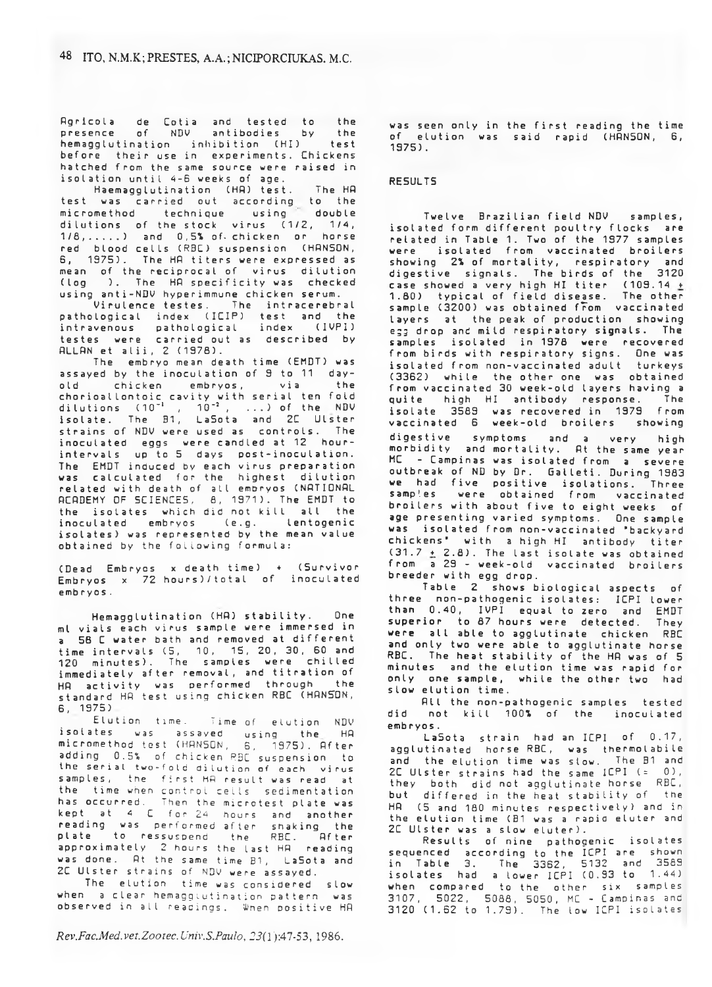Agricola de Cotia and tested to the<br>presence of NDV antibodies by the of NDV antibodies by the<br>pation inhibition (HT) test hemagglutination inhibition (HI) before their use in experiments. Chickens<br>hatched from the same source were raised in hatched from the same source were raised in isolation until 4-6 weeks of age.

HaemaggIutination (HA) test. The HR test was carried out according to the micromethod technique using double dilutions of the stock virus  $(1/2, 1/4,$  $1/8$ , .....) and  $0.5%$  of chicken or horse red blood cells (RBC) suspension (HRNSON, 6, 1975). The HA titers were expressed as mean of the reciprocal of virus dilution<br>(loo ). The HA specificity was checked ). The HA specificity was checked using anti-NDV hyperimmune chicken serum.

Virulence testes. The intracerebral pathological index (IEIP) test and the intravenous pathological index (IVPI) testes were carried out as described by ALLAN et alii, 2 (1978).

The embryo mean death time (EMDT) was assayed by the inoculation of 9 to 11 day-<br>old chicken embryos, via the chicken embryos, via the chorioallontoic cavity with serial ten folddilutions (10<sup>-</sup>' , 10<sup>-</sup>' , ...) of the NDV isolate. The B1, Labota and 2L Ulster strains of NDV were used as controls. The inoculated eggs were candled at 12 hourintervals up to 5 days post-inoculation. The EMDT induced by each virus preparation was calculated for the highest dilution related with death of all embryos (NATIDNAL RCADEMY OF SCIENCES, 8, 1971). The EMDT to the isolates which did not kill all the inoculated embryos Ce.g. lentogenic isolates) was represented by the mean value obtained by the following formula:

(Dead Embryos x death time) + (Survivor Embryos x 72 hours)/total of inoculated embryos .

Hemagglutination (HR) stability. One ml vials each virus sample were immersed in a 58 C water bath and removed at different time intervals (5, 10, 15, 20, 30, 60 and 120 minutes). The samples were chilled immediately after removal, and titration of HR activity was performed through the standard HA test using chicken RBC (HANSON, 6, 1975)

Elution time. Time of elution NDV isolates was assayed using the HA<br>micromethod.test.(HANSON, 6, 1975).After micromethod test (HANSON, adding 0.5% of chicken RBC suspension to the serial two-fold dilution of each virus samples, the first HR result was read at the time when control cells sedimentation<br>has occurred. Then the microtest plate was has occurred. Then the microtest ptate was kept at 4 C for 24 hours and another reading was performed after shaking the plate to ressuspend the RBC. After approximately 2 hours the last HA reading was done. At the same time B1, LaSota and 2C Ulster strains of NDV were assayed.

The elution time was considered slow when a clear hemaggiutination pattern was observed in all readings. When positive HA

*Rev.Fac.Med.vet.Zootec.Univ.S.Paulo, 23(1* ):47-53, 1986.

was seen only in the first reading the time of elution was said rapid (HANSON, 6, 1975).

## RESULTS

Twelve Brazilian field NDV samples, isolated form different poultry flocks are related in Table 1. Two of the 1977 samples were isolated from vaccinated broilers showing 2% of mortality, respiratory and digestive signals. The birds of the 3120 case showed a very high HI titer  $(109.14 \pm$ 1.80) typical of field disease. The other sample (3200) was obtained from vaccinated layers at the peak of production showing egg drop and mild respiratory signals. The samples isolated in 1978 were recovered from birds with respiratory signs. One was isolated from non-vaccinated adult turkeys (3362) while the other one was obtained from vaccinated 30 week-old layers having a quite high HI antibody response. The isolate 3589 was recovered in 1979 from<br>vaccinated 6 week-old broilers showing vaccinated 6 week-old broilers digestive symptoms and a very high morbidity and mortality. At the same year MC - Campinas was isolated from a severe outbreak of ND by Dr. Galleti. During 1983 we had five positive isolations. samples were obtained from vaccinated broilers with about five to eight weeks of age presenting varied symptoms. One sample was isolated from non-vaccinated 'backyard chickens' with a high HI antibody titer (31.7  $\pm$  2.8). The last isolate was obtained from a 29 - week-old vaccinated broilers breeder with egg drop.

Table 2 shows biological aspects of three non-pathogenic isolates: ICPI lower than 0.40, IVPI equal to zero and superior to 87 hours were detected. They were all able to agglutinate chicken RBC and only two were able to agglutinate horse RBC. The heat stability of the HR was of 5 minutes and the elution time was rapid for only one sample, while the other two had slow elution time.

All the non-pathogenic samples tested did not kill 100% of the inoculated embryos.

La Sota strain had an ICPI of 0.17, agglutinated horse RBC, was thermolabile and the elution time was slow. The B1 and 2C Ulster strains had the same ICPI  $( = 0)$ , they both did not agglutinate horse RBC, but differed in the heat stability of the HR (5 and 180 minutes respectively) and in the elution time (B1 was a rapid eluter and 2C Ulster was a slow eluter).

Results of nine pathogenic isolates sequenced according to the ICPI are shown in Table 3. The 3362, 5132 and 3589 isolates had a lower ICPI ( $0.93$  to  $1.44$ ) when compared to the other six samples 3107, 5022, 5088, 5050, MC - Campinas and 3120 (1.62 to 1.79). The low ICPI isolates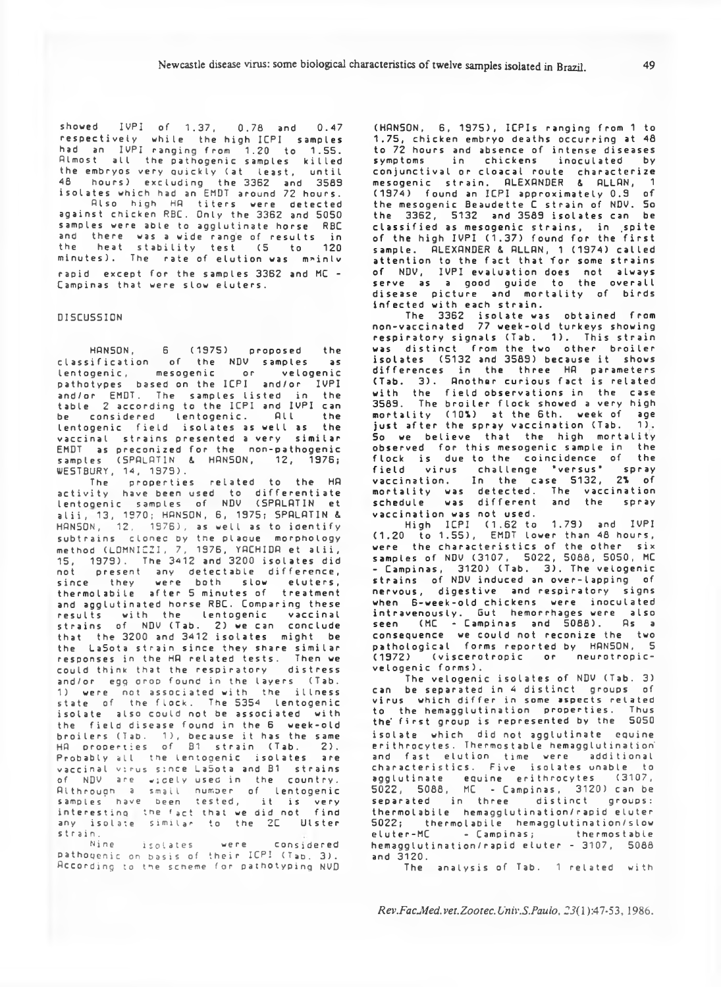showed IVPI of 1.37, 0.78 and 0.47 respectively while the high ICPI samples had an IVPI ranging from 1.20 to 1.55. Plmost all the pa th og en ic samples killed the embryos very quickly (at least, until the 3362 and 3589 isolates which had an EMDT around 72 hours. Plso high HP titers were detected against chicken RBC. Only the 3362 and 5050 samples were able to agglutinate horse RBC and there was a wide range of results in<br>the heat stability test (5 to 120 heat stability test (5 to 120 minutes). The rate of elution was mainly rapid except for the samples 3362 and MC -Campinas that were slow eluters.

### DISCUSSION

HANSON, 6 (1975) proposed the classification of the NDV samples as lentogenic, mesogenic or velogenic pathotypes based on the ICPI and/or IVPI and/or EMDT. The samples listed in the table 2 according to the ICPI and IVPI can be considered lentogenic. All the lentogenic field isolates as well as the vaccinal strains presented a very similar EMDT as preconized for the non-pathogenic samples (SPALATIN & HANSON, 12, 1976; WESTBURY, 14, 1979).

The properties related to the HA activity have been used to differentiate lentogenic samples of NDV (SPALATIN et alii, 13, 1970; HANSON, 6, 1975; SPALATIN & HANSON,  $12$ ,  $1976$ ), as well as to identify subtrains clonec by the plaque morphology method (LOMNICZI, 7, 1976, YACHIDA et alii, 15, 1379). The 3412 and 3200 isolates did not present any detectable difference, since they were both slow eluters,<br>thermolabile after-5-minutes-of treatment thermolabile after 5 minutes of and agglutinated horse RBC. Comparing these results with the lentogenic vaccinal strains of NDV (Tab. 2) we can conclude that the 3200 and 3412 isolates might be the LaSota strain since they share similar responses in the HA related tests. could think that the respiratory distress and/or egg oroo found in the layers (Tab. 1) were not associated with the illness state of the flock. The 5354 lentogenic isolate also could not be associated with the field disease found in the 6 week-old broilers (Tab.  $\,$  1), because it has the same. HA properties of B1 strain (Tab. 2). Probably all the lentogenic isolates are vaccinal virus since LaSota and B1 strains of NDV are wicely used in the country. Althrough a small number of **lentogenic** samples have been tested, it is very interesting the (act that we did not find any isolate similar to the 2C Ulster strain.<br>Nine

Nine isolates were considered pathogenic on basis of their ICPI (Tap. 3). According to the scheme for pathotyping NVD

(HANSON, 6, 1975), ICPIs ranging from 1 to 1.75, chicken embryo deaths occurring at 48 to 72 hours and absence of intense diseases symptoms in chickens inoculated by conjunctival or cloacal route characterize mesogenic strain. ALEXANDER & ALLAN, 1 (1974) found an ICPI approximately 0.9 of the mesogenic Beaudette C strain of NDV. So the 3362, 5132 and 3583 isolates can be classified as mesogenic strains, in spite of the high IVPI (1.37) found for the first sample. ALEXANDER & ALLAN, 1 (1974) called attention to the fact that for some strains of NDV, IVPI evaluation does not always serve as a good guide to the overall disease picture and mortality of birds infected with each strain.

The 3362 isolate was obtained from non-vaccinated 77 week-old turkeys showing respiratory signals (Tab. 1). This strain was distinct from the two other broiler isolates (5132 and 3589) because it shows differences in the three HA parameters (Tab. 3). Another curious fact is related with the field observations in the case 3589. The broiler flock showed a very high mortality (10%) at the 6th. week of age just after the spray vaccination (Tab.  $1)$ . So we believe that the high mortality observed for this mesogenic sample in the flock is due to the coincidence of the field virus challenge 'versus' spray va cci nation. In the case 5132, *Z\* of mortality was detected. The vaccination schedule was different and the spray vaccination was not used.

High ICPI (1.62 to 1.79) and IVPI (1.20 to 1.55), EMDT lower than 48 hours, were the characteristics of the other six samples of NDV (3107, 5022, 5088, 5050, MC - Campinas, 3120) (Tab. 3). The velogenic strains of NDV induced an over-lapping of nervous, digestive and respiratory signs when 6-week-old chickens were inoculated intravenously. But hemorrhages were also seen  $(MC - Campinas$  and  $\bar{5}088)$ . As a consequence we could not reconize the two pathological forms reported by HANSON, 5<br>(1972) (viscerotronic or neurotronic-(1972) (viscerotropic or velogenic forms).

The velogenic isolates of NDV (Tab. 3) can be separated in 4 distinct groups of virus which differ in some aspects related<br>to the bemanolutination, properties. Thus to the hemagglutination properties. the' first group is represented by the 5050 isolate which did not agglutinate equine erithrocytes. Thermostable hemagglutination and fast elution time were additional characteristics. Five isolates unable to agglutinate equine erithrocytes (3107, 5022, 5088, MC - Campinas, 3120) can be separated in three distinct groups: thermolabile hemaggIutination/rapid eluter 5022; thermolabile hemagglutination/slow eluter-MC - Campinas; thermostable hemagglutination/rapid eluter - 3107, 5088 and 3120.

The analysis of Tab. 1 related with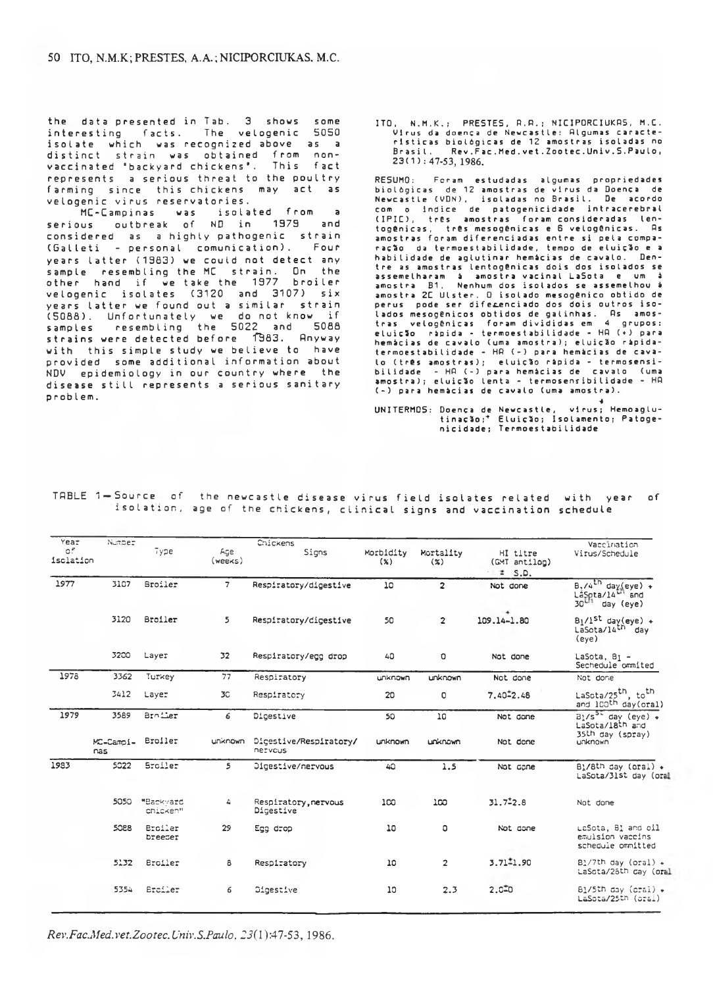the data presented in Tab. 3 shows some interesting facts. The velogenic 5050 isolate which was recognized above as a distinct strain was obtained from nonvaccinated 'backyard chickens'. This fact represents a serious threat to the poultry farming since this chickens may act as velogenic virus reservatories.<br>MC-Campinas was isolated from

MC-Campinas was isolated from a serious outbreak of ND in 1979 and considered as a highty pathogenic strain (Galleti - personal comunication). Four years latter (1963) we could not detect any sample resembling the MC strain. On the other hand if we take the 1977 broiler velogenic isolates (3120 and 3107) six years latter we found out a similar strain (5088). Unfortunately we do not know if samples resembling the 5022 and 5086 strains were detected before 1983. Anyway with this simple study we believe to have provided some additional information about NDV epidemiology in our country where the disease still represents a serious sanitary problem.

ITO, N.M.K.; PRESTES, A.A.; NICIPORCIUKAS, M.C. Virus da doença de Newcastle: Algumas características biológicas de 12 amostras isoladas no<br>Prasil. Rev.Fac.Med.vet.Zootec.Univ.S.Paulo. Rev.Fac.Med.vet.Zootec.Univ.S.Paulo, 2 3 ( 1 ): 47-53, 1986.

RESUMO: Foram estudadas algumas propriedades<br>biològicas de 12 amostras de virus da Doença de<br>Newcastle (VDN), isoladas no Brasil. De acordo com o indice de patogenicidade intracerebral (IPIL), três amostras foram-consideradas len-<br>togênicas, três-mesogênicas-e-G-velogênicas. As amostras foram diferenciadas entre si pela comparação da termoestabilidade, tempo de eluição e a<br>habilidade de aglutinar hemácias de cavalo. Denhabilidade de aglutinar hemácias de cavalo. Den-<br>tre as amostras lentogênicas dois dos isolados se<br>assemelharam à amostra vacinal LaSota e um à<br>amostra B1, Nenhum dos isolados se assemelhou à amostra 2C Ulster. O isolado mesogênico obtido de perus pode ser diferenciado dos dois outros isolados mesogênicos obtidos de galinhas. Hs amos-<br>tras velogênicas foram divididas em 4 grupos: eluição - rápida - termoestabilidade - HH (+) para hemácias de cavalo (uma amostra); eluição rápida-<br>termoestabilidade - HA (-) para hemácias de cavalo ( três amostras); eluição rápida - termosensibilidade - HA (-) para hemácias de cavalo (uma<br>amostra); eluição lenta - termosensibilidade - HA (-) para hemici as de ca valo (uma amostra).

virus; Hemoaglu-UNITERMO5: Doença de Newcastle, virus; Hemoaglu-<br>tinação;\* Eluição; Isolamento; Patogenicidade; Termoestabilidade

| TABLE 1-Source of the newcastle disease virus field isolates related with year of |  |  |  |  |
|-----------------------------------------------------------------------------------|--|--|--|--|
| isolation, age of the chickens, clinical signs and vaccination schedule           |  |  |  |  |

| Year                        | Number           |                           |                | Chickens                          |                  |                     |                                            | Vaccination                                                                                 |
|-----------------------------|------------------|---------------------------|----------------|-----------------------------------|------------------|---------------------|--------------------------------------------|---------------------------------------------------------------------------------------------|
| 0 <sup>F</sup><br>isclation |                  | Type                      | Age<br>(weeks) | Signs                             | Morbidity<br>(x) | Mortality<br>$(\%)$ | HI titre<br>(GMT antilog)<br>$\equiv$ S.D. | Virus/Schedule                                                                              |
| 1977                        | 3107             | Broiler                   | $\overline{7}$ | Respiratory/digestive             | 10               | $\overline{2}$      | Not done                                   | $B$ , /4 <sup>th</sup> day(eye) +<br>LaSpta/14 <sup>th</sup> and<br>$30^{1/1}$<br>day (eye) |
|                             | 3120             | <b>Broiler</b>            | 5              | Respiratory/digestive             | 50               | $\overline{2}$      | ۰<br>109.14-1.80                           | $B_1/1$ <sup>st</sup> day(eye) +<br>LaSota/14 <sup>th</sup> day<br>(eye)                    |
|                             | 3200             | Layer                     | 32             | Respiratory/egg drop              | 40               | $\Omega$            | Not done                                   | $Lasota, BI$ -<br>Sechedule ommited                                                         |
| 1978                        | 3362             | Turkey                    | 77             | Respiratory                       | unknown          | unknown             | Not done                                   | Not done                                                                                    |
|                             | 3412             | Layer                     | 3C             | Respiratory                       | 20               | O                   | $7.40 \pm 2.48$                            | LaSota/25 <sup>th</sup> , to <sup>th</sup><br>and 100th day (oral)                          |
| 1979                        | 3589             | Brofler                   | 6              | Digestive                         | 50               | 10                  | Not done                                   | $B_1/s^{5}$ day (eye) +<br>LaSota/18th and<br>35th day (spray)                              |
|                             | MC-Campi-<br>nas | <b>Broiler</b>            | unknown        | Dicestive/Respiratory/<br>netvous | unknown          | unknown             | Not done                                   | unknown                                                                                     |
| 1983                        | 5022             | <b>Stoiler</b>            | 5              | Digestive/nervous                 | 40               | 1.5                 | Not cone                                   | $B1/8th$ day (oral) +<br>LaSota/31st day (ora                                               |
|                             | 5050             | "Backvard<br>chicken"     | 4              | Respiratory, nervous<br>Dicestive | 100              | 100                 | 31.72.8                                    | Not done                                                                                    |
|                             | 5088             | <b>Broiler</b><br>breeder | 29             | Egg drop                          | 10               | O                   | Not done                                   | LaSota, B1 and oil<br>emulsion vaccins<br>schedule ommitted                                 |
|                             | 5132             | Broiler                   | 8              | Respiratory                       | 10               | $\overline{2}$      | $3.71^{\pm}1.90$                           | $B1/7th$ day (oral) +<br>LaSota/26th day (ora                                               |
|                             | 5354             | Erailer                   | 6              | Digestive                         | 10               | 2.3                 | $2.0 - 0$                                  | B1/5th day (cral) +<br>LaSota/25th (cral)                                                   |

*Rev.Fac.Med.vet.Zootec.Univ.S.Paulo, 23(*l):47-53, 1986.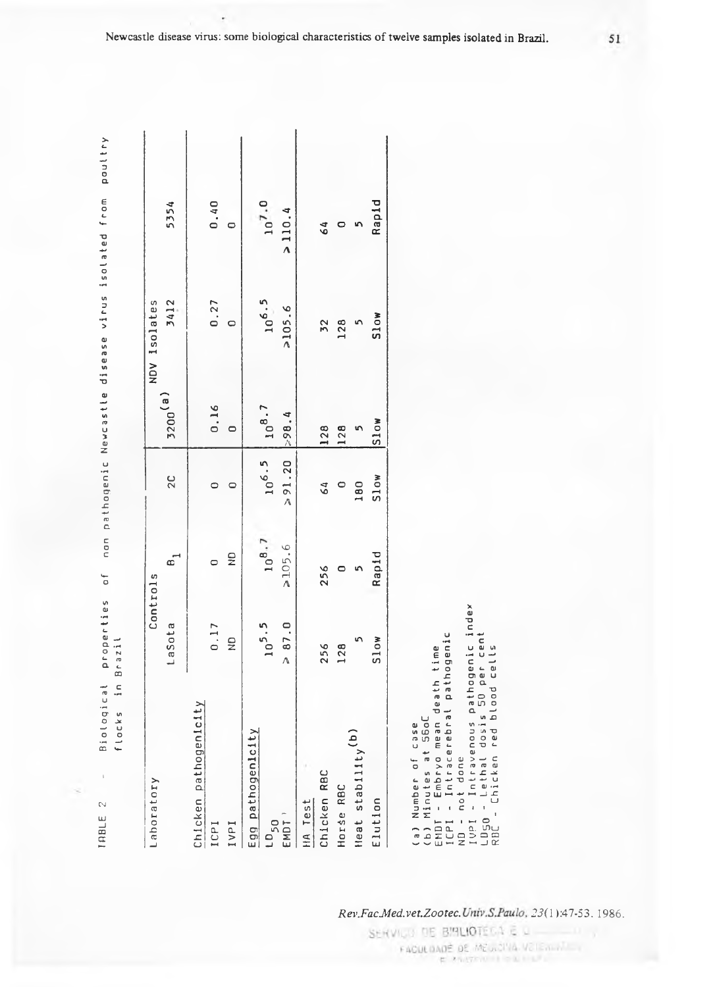non pathogenic Newcastle disease virus isolated from poultry T A B L E 2 - B i o l o q i c a l p r o p e r t i e s of non p a t h o g e n i c N e w c a s t l e d i s e a s e v i r u s i s o l a t e d f r o m p o u l t r y  $\overline{0}$ Biological properties<br>flocks in Brazil flocks in Brazil  $\bar{\phantom{a}}$ 

 $\mathbb{N}$ 

TRBLE

| Laboratory                     |               | Controls      |                  |                       | NDV 1solates |            |
|--------------------------------|---------------|---------------|------------------|-----------------------|--------------|------------|
|                                | LaSota        | o,            | $\overline{2}$ C | $3200$ <sup>(a)</sup> | 3412         | 5354       |
| Chicken pathogenicity<br>ICPI  | 0.17          | $\circ$       | $\circ$          | 0.16                  | 0.27         | 0.40       |
| IVPI                           | $\frac{1}{2}$ | $\frac{1}{2}$ |                  | $\circ$               | $\circ$      | $\circ$    |
| Egg pathogenicity<br>$10_{50}$ | $10^{5.5}$    | $10^{8.7}$    | $10^{6.5}$       | $10^{8.7}$            | $10^{6.5}$   | $10^{7.0}$ |
| EMDT <sup>1</sup>              | > 87.0        | >105.6        | > 91.20          | 298.4                 | >105.6       | > 110.4    |
| Chicken RBC<br>HA Test         | 256           | 256           | 64               | 128                   | 32           | 64         |
| Horse RBC                      | 128           | $\circ$       | $\circ$          | 128                   | 128          | $\circ$    |
| Heat stability <sup>(b)</sup>  | n             | n             | 180              | n                     |              | n          |
| Elution                        | Slow          | Rapid         | <b>Slow</b>      | S10W                  | Slow         | Rapid      |

EMDT - Embryo mean death time (b) Minutes at SboL (a) Number of case (a) Nu m b e r of case

(b) Minutes at S6oC<br>EMDT - Embryo mean death time<br>ICPI - Intracerebral pathogenic<br>ND - not done<br>IVPI - Intravenous pathogenic index<br>LD50 - Lethal dosis 50 per cent<br>RDC - Chicken red blood cells IypI - I n t r a v e n o u s p a t h o g e n i c index L D 50 - Lethal dosis 50 per cent ICPI - I n t r a c e r e b r a l p a t h o g e n i c ND - not done

RBC - Chicken red blood cells

*'ZS-LV-{\)£Z '331OOZ-13A-p3fV0Dj-d3}J* '9861

SERVICE DE BIRLIOTECA E Q - 11 FACULDADE DE MEGICINA VETERINA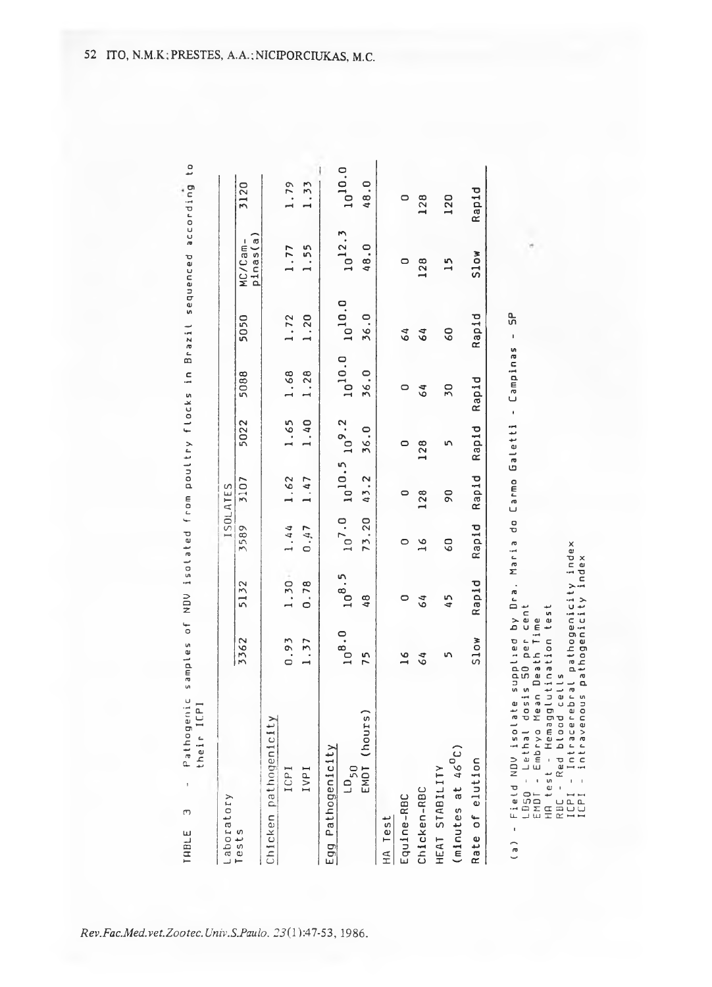THBLE 3 - Pratical to samples of NDU is of a called from pour es of NDU is amples of a condication of in a conding to Pathogenic samples of NDV isolated from poultry flocks in Brazil sequenced according their ICPI their I CP I  $\bar{1}$  $\sigma$ 

| Laboratory                             |               |            |                 | ISOLATES       |                      |             |             |                     |             |
|----------------------------------------|---------------|------------|-----------------|----------------|----------------------|-------------|-------------|---------------------|-------------|
| Tests                                  | 3362          | 5132       | 3589            | 3107           | 5022                 | 5088        | 5050        | pinas(a)<br>MC/Cam- | 3120        |
| Chicken pathogenicity                  |               |            |                 |                |                      |             |             |                     |             |
| ICPI                                   | 0.93          | $1.30 -$   | 1.44            | 1.62           | 1.65                 | 1.68        | 1.72        | 1.77                | 1.79        |
| IVPI                                   | 1.37          | 0.78       | 0.47            | 1.47           | 1.40                 | 1.28        | 1.20        | 1.55                | 1.33        |
| Egg Pathogenicity                      |               |            |                 |                |                      |             |             |                     |             |
| $LD_{50}$                              | $10^{8.0}$    | $10^{8.5}$ | $10^{7.0}$      |                | $10^{10.5} 10^{9.2}$ | $10^{10.0}$ | $10^{10.0}$ | $10^{12.3}$         | $10^{10}$ . |
| EMDT (hours                            | 75            | 48         | 73.20           | 43.2           | 36.0                 | 36.0        | 36.0        | 48.0                | 48.0        |
| Test<br>$H_A$                          |               |            |                 |                |                      |             |             |                     |             |
| Equine-RBC                             | $\frac{6}{1}$ | 0          | $\circ$         | $\circ$        | $\circ$              | 0           | 64          | 0                   | $\circ$     |
| Chicken-RBC                            | 64            | 64         | $\frac{6}{1}$   | 128            | 128                  | 64          | 64          | 128                 | 128         |
| $(m1nutes at 46^0C)$<br>HEAT STABILITY | n             | 45         | $\overline{60}$ | $\overline{6}$ | 5                    | 50          | 60          | $\frac{5}{1}$       | 120         |
| Rate of elution                        | Slow          | Rapid      | Rapid           | Rapid          | Rapid                | Rapid       | Rapid       | Slow                | Rap1d       |

LD50 - Lethal dosis Sproecent<br>FMDT - Embryo Mean Death Time<br>HA test - Hemagglutination test<br>RBC - Red blood cells<br>ICPI - Intracerebral pathogenicity index<br>ICPI - intravenous pathogenicity index L D 50 - Lethal dosis 50 per cent HR test - Hemagglutination test EMDT - Embryo Mean Death Time

¥

 $R \, B \, C - R \, e \, d$  blood cells

ICPI - I n t r a c e r e b r a l p a t h o g e n i c i t y index

ICPI - i n t r a v e n o u s p a t h o g e n i c i t y index

 $\frac{1}{2}$ 

*Rev.Fac.Med.vet.Zootec.Univ.S.Paulo,* 2J(l):47-53, 1986.

TABLE